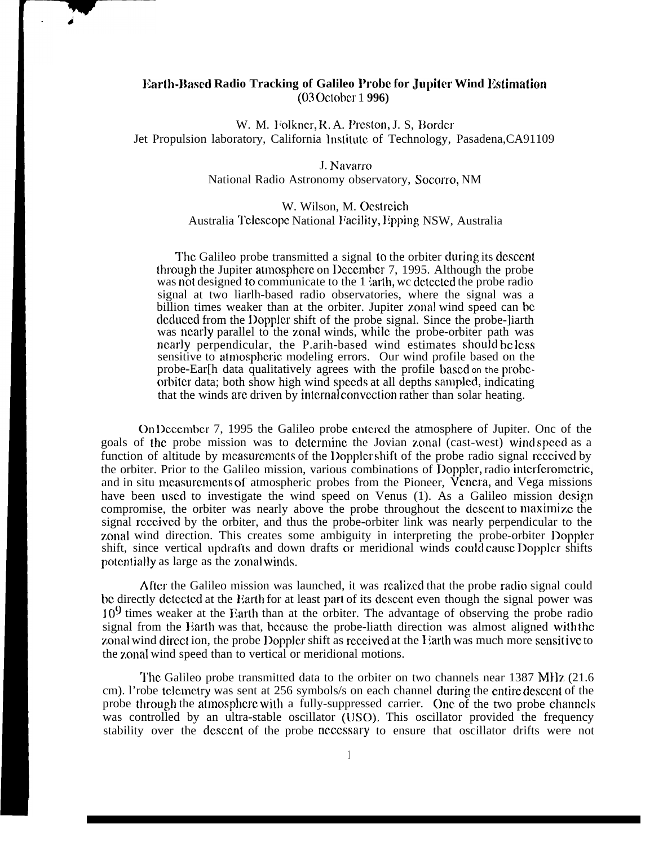## **Earth-Based Radio Tracking of Galileo Probe for Jupiter Wind Estimation (03 October 1 996)**

W. M. Folkner, R. A. Preston, J. S. Border Jet Propulsion laboratory, California Institute of Technology, Pasadena,CA91109

## J. Navarro National Radio Astronomy observatory, Socorro, NM

## W. Wilson, M. Oestreich Australia Telescope National Facility, Epping NSW, Australia

The Galileo probe transmitted a signal to the orbiter during its descent through the Jupiter atmosphere on December 7, 1995. Although the probe was not designed to communicate to the 1 larth, we detected the probe radio signal at two liarlh-based radio observatories, where the signal was a billion times weaker than at the orbiter. Jupiter zonal wind speed can be deduced from the Doppler shift of the probe signal. Since the probe-liarth was nearly parallel to the zonal winds, while the probe-orbiter path was nearly perpendicular, the P.arih-based wind estimates should be less sensitive to atmospheric modeling errors. Our wind profile based on the probe-Ear[h data qualitatively agrees with the profile based on the probeorbiter data; both show high wind speeds at all depths sampled, indicating that the winds are driven by internal convection rather than solar heating.

On December 7, 1995 the Galileo probe entered the atmosphere of Jupiter. Onc of the goals of the probe mission was to determine the Jovian zonal (cast-west) wind speed as a function of altitude by measurements of the Doppler shift of the probe radio signal received by the orbiter. Prior to the Galileo mission, various combinations of Doppler, radio interferometric, and in situ measurements of atmospheric probes from the Pioneer, Venera, and Vega missions have been used to investigate the wind speed on Venus (1). As a Galileo mission design compromise, the orbiter was nearly above the probe throughout the descent to maximize the signal received by the orbiter, and thus the probe-orbiter link was nearly perpendicular to the zonal wind direction. This creates some ambiguity in interpreting the probe-orbiter Doppler shift, since vertical updrafts and down drafts or meridional winds could cause Doppler shifts potentially as large as the zonal winds.

After the Galileo mission was launched, it was realized that the probe radio signal could be directly detected at the Earth for at least part of its descent even though the signal power was  $10<sup>9</sup>$  times weaker at the Earth than at the orbiter. The advantage of observing the probe radio signal from the Earth was that, because the probe-liatth direction was almost aligned with the zonal wind direct ion, the probe Doppler shift as received at the Earth was much more sensitive to the zonal wind speed than to vertical or meridional motions.

The Galileo probe transmitted data to the orbiter on two channels near 1387 MHz (21.6) cm). l'robe telemetry was sent at 256 symbols/s on each channel during the entire descent of the probe through the atmosphere with a fully-suppressed carrier. One of the two probe channels was controlled by an ultra-stable oscillator (USO). This oscillator provided the frequency stability over the dcsccnt of the probe ncccssary to ensure that oscillator drifts were not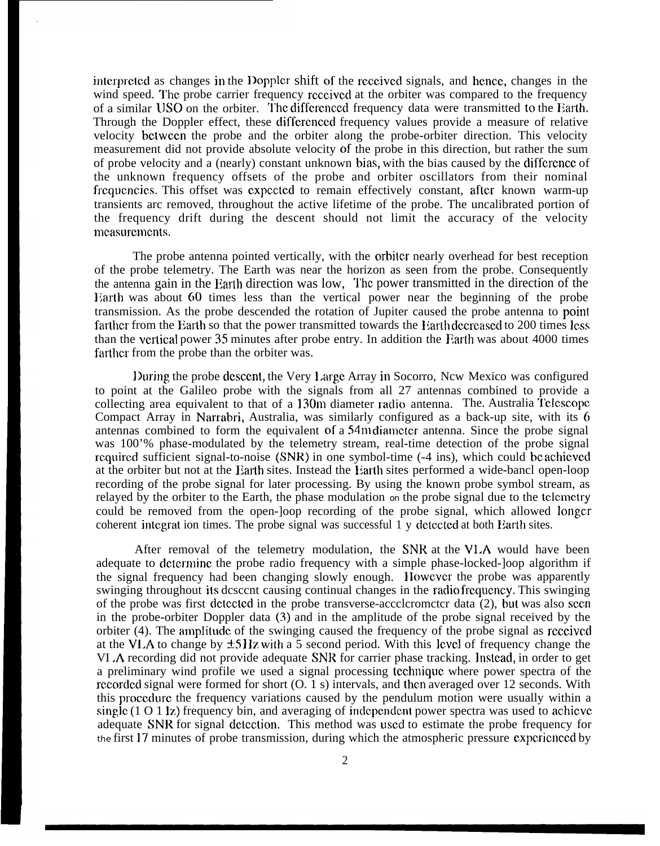interpreted as changes in the Doppler shift of the received signals, and hence, changes in the wind speed. The probe carrier frequency received at the orbiter was compared to the frequency of a similar USO on the orbiter. '1'hc diffcrcnccd frequency data were transmitted to the Earth. Through the Doppler effect, these diffcrenccd frequency values provide a measure of relative velocity bctwccn the probe and the orbiter along the probe-orbiter direction. This velocity measurement did not provide absolute velocity of the probe in this direction, but rather the sum of probe velocity and a (nearly) constant unknown bias, with the bias caused by the diffcrcncc of the unknown frequency offsets of the probe and orbiter oscillators from their nominal frequencies. This offset was expected to remain effectively constant, after known warm-up transients arc removed, throughout the active lifetime of the probe. The uncalibrated portion of the frequency drift during the descent should not limit the accuracy of the velocity mcasurcmcnts.

The probe antenna pointed vertically, with the orbiter nearly overhead for best reception of the probe telemetry. The Earth was near the horizon as seen from the probe. Consequently the antenna gain in the Earth direction was low. The power transmitted in the direction of the Earth was about 60 times less than the vertical power near the beginning of the probe transmission. As the probe descended the rotation of Jupiter caused the probe antenna to point farther from the Earth so that the power transmitted towards the Earth decreased to 200 times less than the vertical power 35 minutes after probe entry. In addition the Earth was about 4000 times farther from the probe than the orbiter was.

During the probe descent, the Very Large Array in Socorro, New Mexico was configured to point at the Galileo probe with the signals from all 27 antennas combined to provide a collecting area equivalent to that of a 130m diameter radio antenna. The. Australia Telescope Compact Array in Narrabri, Australia, was similarly configured as a back-up site, with its 6 antennas combined to form the equivalent of a 54m diameter antenna. Since the probe signal was 100'% phase-modulated by the telemetry stream, real-time detection of the probe signal rcquired sufficient signal-to-noise (SNR) in one symbol-time (-4 ins), which could be achieved at the orbiter but not at the Earth sites. Instead the Earth sites performed a wide-bancl open-loop recording of the probe signal for later processing. By using the known probe symbol stream, as relayed by the orbiter to the Earth, the phase modulation on the probe signal due to the tclcmctry could be removed from the open-]oop recording of the probe signal, which allowed longer coherent intcgrat ion times. The probe signal was successful 1 y dctcctcd at both Earth sites.

After removal of the telemetry modulation, the SNR at the VLA would have been adequate to dctcrminc the probe radio frequency with a simple phase-locked-]oop algorithm if the signal frequency had been changing slowly enough. However the probe was apparently swinging throughout its descent causing continual changes in the radio frequency. This swinging of the probe was first dctectcd in the probe transverse-accclcromctcr data (2), but was also seen in the probe-orbiter Doppler data (3) and in the amplitude of the probe signal received by the orbiter (4). The amplitude of the swinging caused the frequency of the probe signal as received at the VLA to change by  $\pm$ 5 Hz with a 5 second period. With this lcvcl of frequency change the VI .A recording did not provide adequate SNR for carrier phase tracking. lnstcad, in order to get a preliminary wind profile we used a signal processing tcchniquc where power spectra of the recorded signal were formed for short  $(0. 1 s)$  intervals, and then averaged over 12 seconds. With this proccdurc the frequency variations caused by the pendulum motion were usually within a single  $(1 \ 0 \ 1 \ 1)$  frequency bin, and averaging of independent power spectra was used to achieve adequate SNR for signal detection. This method was used to estimate the probe frequency for the first 17 minutes of probe transmission, during which the atmospheric pressure cxpcricnced by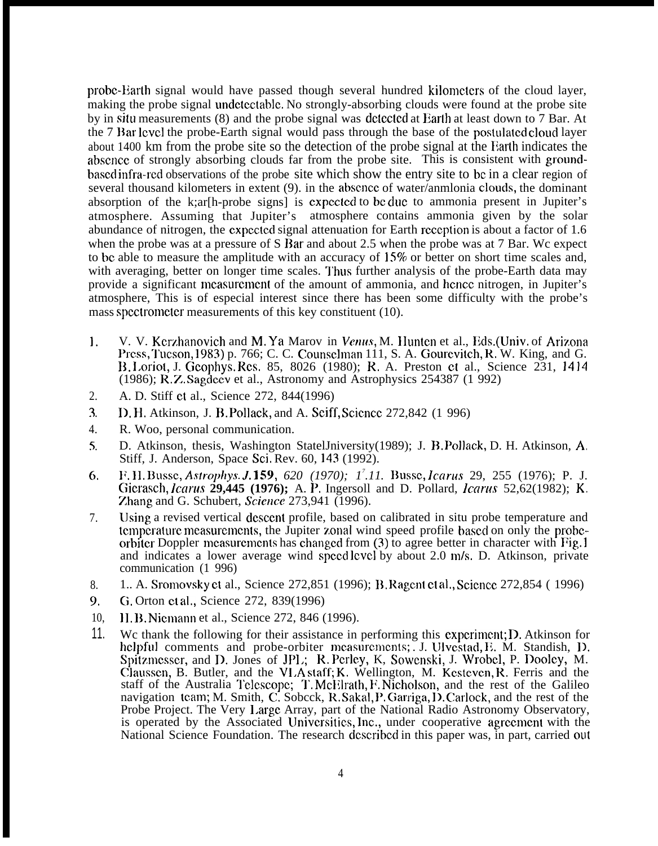probe-Earth signal would have passed though several hundred kilometers of the cloud layer, making the probe signal undetectable. No strongly-absorbing clouds were found at the probe site by in situ measurements (8) and the probe signal was detected at Earth at least down to 7 Bar. At the 7 Bar level the probe-Earth signal would pass through the base of the postulated cloud layer about 1400 km from the probe site so the detection of the probe signal at the Earth indicates the abscncc of strongly absorbing clouds far from the probe site. This is consistent with groundbascd infra-rcd observations of the probe site which show the entry site to bc in a clear region of several thousand kilometers in extent (9). in the absence of water/anmlonia clouds, the dominant absorption of the k;ar[h-probe signs] is cxpcctcd to bc duc to ammonia present in Jupiter's atmosphere. Assuming that Jupiter's atmosphere contains ammonia given by the solar abundance of nitrogen, the cxpcctcd signal attenuation for Earth rcccption is about a factor of 1.6 when the probe was at a pressure of S Bar and about 2.5 when the probe was at 7 Bar. Wc expect to bc able to measure the amplitude with an accuracy of 15% or better on short time scales and, with averaging, better on longer time scales. Thus further analysis of the probe-Earth data may provide a significant rncasurcmcnt of the amount of ammonia, and hcncc nitrogen, in Jupiter's atmosphere, This is of especial interest since there has been some difficulty with the probe's mass spcctromctcr measurements of this key constituent (10).

- 1. V. V. Kerzhanovich and M. Ya Marov in *Venus*, M. Hunten et al., Eds.(Univ. of Arizona Press, Tucson, 1983) p. 766; C. C. Counselman 111, S. A. Gourevitch, R. W. King, and G. B. l.oriot, J. Gcophys. Rcs, 85, 8026 (1980); R, A. Preston ct al., Science 231, 14]4 (1986); R. Z. Sagdcev et al., Astronomy and Astrophysics 254387 (1 992)
- 2. A. D. Stiff et al., Science 272, 844(1996)
- ?. . D. H, Atkinson, J. B. Pollack, and A. Seiff, Scicncc 272,842 (1 996)
- 4. R. Woo, personal communication.
- $5.$ D. Atkinson, thesis, Washington StatelJniversity(1989); J. B. Pollack, D. H. Atkinson, A, Stiff, J. Anderson, Space Sci, Rev. 60, 143 (1992).
- 6, l?. }1, BL~ssc, *Astrophys. 3. ]59, 620 (1970); 1<sup>7</sup> .11.* Bussc, *lcarus* 29, 255 (1976); P. J. Gicrasch, *lcarus* **29,445 (1976);** A. P. Ingersoll and D. Pollard, *lcarw* 52,62(1982); K, Zhang and G. Schubert, Science 273,941 (1996).
- 7. Using a revised vertical descent profile, based on calibrated in situ probe temperature and tcmpcraturc mcasurcmcnts, the Jupiter ?onal wind speed profile basccl on only the probcorbiter Doppler measurements has changed from  $(3)$  to agree better in character with Fig. 1 and indicates a lower average wind speed lcvcl by about 2.0 m/s. D. Atkinson, private communication (1 996)
- 8. 1.. A. Srornovsky ct al., Science 272,851 (1996); B. Ragcnt ct al,, Scicncc 272,854 ( 1996)
- 9, G. Orton ct al,, Science 272, 839(1996)
- 10, 11. B. Nicmann et al., Science 272, 846 (1996).
- 11. We thank the following for their assistance in performing this experiment; D. Atkinson for helpful comments and probe-orbiter measurements; J. Ulvestad, E. M. Standish, D. Spitzmesser, and D. Jones of JPL; R. Perley, K, Sowenski, J. Wrobel, P. Dooley, M. Claussen, B. Butler, and the VLA staff; K. Wellington, M. Kesteven, R. Ferris and the staff of the Australia Telescope; T. McElrath, F. Nicholson, and the rest of the Galileo navigation tcam; M. Smith, C. Sobcck, R. Sakal, P. Garriga, D. Carlock, and the rest of the Probe Project. The Very I.argc Array, part of the National Radio Astronomy Observatory, is operated by the Associated Universities, Inc., under cooperative agreement with the National Science Foundation. The research described in this paper was, in part, carried out